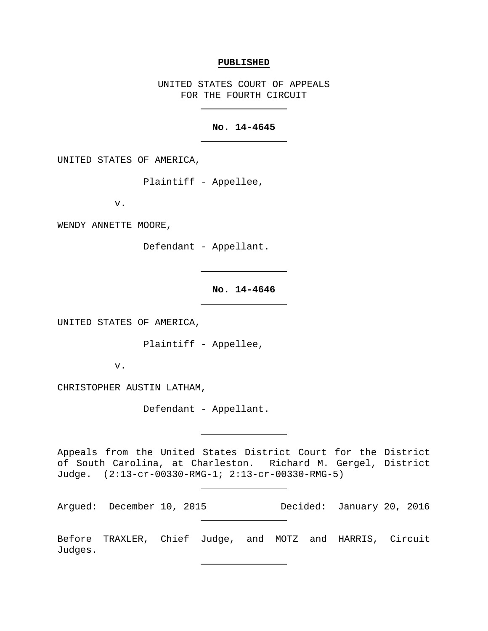## **PUBLISHED**

UNITED STATES COURT OF APPEALS FOR THE FOURTH CIRCUIT

# **No. 14-4645**

UNITED STATES OF AMERICA,

Plaintiff - Appellee,

v.

WENDY ANNETTE MOORE,

Defendant - Appellant.

# **No. 14-4646**

UNITED STATES OF AMERICA,

Plaintiff - Appellee,

v.

CHRISTOPHER AUSTIN LATHAM,

Defendant - Appellant.

Appeals from the United States District Court for the District of South Carolina, at Charleston. Richard M. Gergel, District Judge. (2:13-cr-00330-RMG-1; 2:13-cr-00330-RMG-5)

Argued: December 10, 2015 Decided: January 20, 2016

Before TRAXLER, Chief Judge, and MOTZ and HARRIS, Circuit Judges.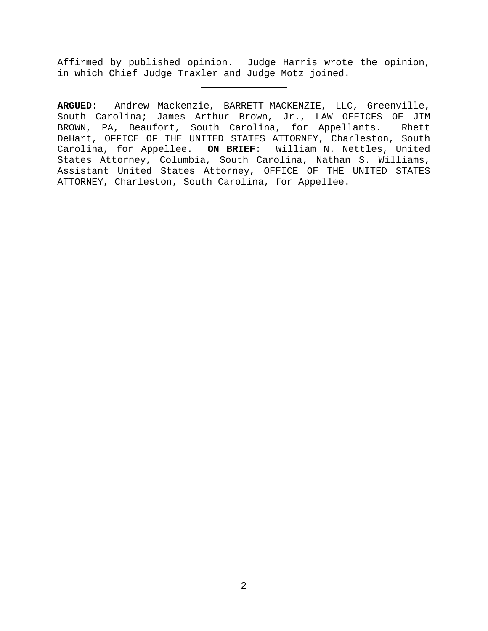Affirmed by published opinion. Judge Harris wrote the opinion, in which Chief Judge Traxler and Judge Motz joined.

**ARGUED**: Andrew Mackenzie, BARRETT-MACKENZIE, LLC, Greenville, South Carolina; James Arthur Brown, Jr., LAW OFFICES OF JIM BROWN, PA, Beaufort, South Carolina, for Appellants. Rhett DeHart, OFFICE OF THE UNITED STATES ATTORNEY, Charleston, South Carolina, for Appellee. **ON BRIEF**: William N. Nettles, United States Attorney, Columbia, South Carolina, Nathan S. Williams, Assistant United States Attorney, OFFICE OF THE UNITED STATES ATTORNEY, Charleston, South Carolina, for Appellee.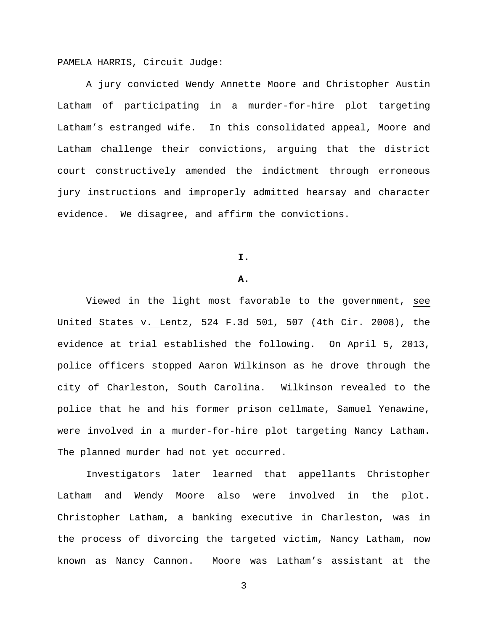PAMELA HARRIS, Circuit Judge:

A jury convicted Wendy Annette Moore and Christopher Austin Latham of participating in a murder-for-hire plot targeting Latham's estranged wife. In this consolidated appeal, Moore and Latham challenge their convictions, arguing that the district court constructively amended the indictment through erroneous jury instructions and improperly admitted hearsay and character evidence. We disagree, and affirm the convictions.

**I.**

### **A.**

Viewed in the light most favorable to the government, see United States v. Lentz, 524 F.3d 501, 507 (4th Cir. 2008), the evidence at trial established the following. On April 5, 2013, police officers stopped Aaron Wilkinson as he drove through the city of Charleston, South Carolina. Wilkinson revealed to the police that he and his former prison cellmate, Samuel Yenawine, were involved in a murder-for-hire plot targeting Nancy Latham. The planned murder had not yet occurred.

Investigators later learned that appellants Christopher Latham and Wendy Moore also were involved in the plot. Christopher Latham, a banking executive in Charleston, was in the process of divorcing the targeted victim, Nancy Latham, now known as Nancy Cannon. Moore was Latham's assistant at the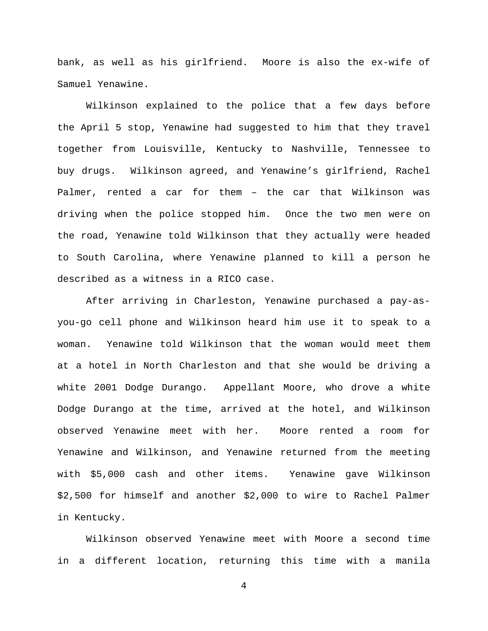bank, as well as his girlfriend. Moore is also the ex-wife of Samuel Yenawine.

Wilkinson explained to the police that a few days before the April 5 stop, Yenawine had suggested to him that they travel together from Louisville, Kentucky to Nashville, Tennessee to buy drugs. Wilkinson agreed, and Yenawine's girlfriend, Rachel Palmer, rented a car for them – the car that Wilkinson was driving when the police stopped him. Once the two men were on the road, Yenawine told Wilkinson that they actually were headed to South Carolina, where Yenawine planned to kill a person he described as a witness in a RICO case.

After arriving in Charleston, Yenawine purchased a pay-asyou-go cell phone and Wilkinson heard him use it to speak to a woman. Yenawine told Wilkinson that the woman would meet them at a hotel in North Charleston and that she would be driving a white 2001 Dodge Durango. Appellant Moore, who drove a white Dodge Durango at the time, arrived at the hotel, and Wilkinson observed Yenawine meet with her. Moore rented a room for Yenawine and Wilkinson, and Yenawine returned from the meeting with \$5,000 cash and other items. Yenawine gave Wilkinson \$2,500 for himself and another \$2,000 to wire to Rachel Palmer in Kentucky.

Wilkinson observed Yenawine meet with Moore a second time in a different location, returning this time with a manila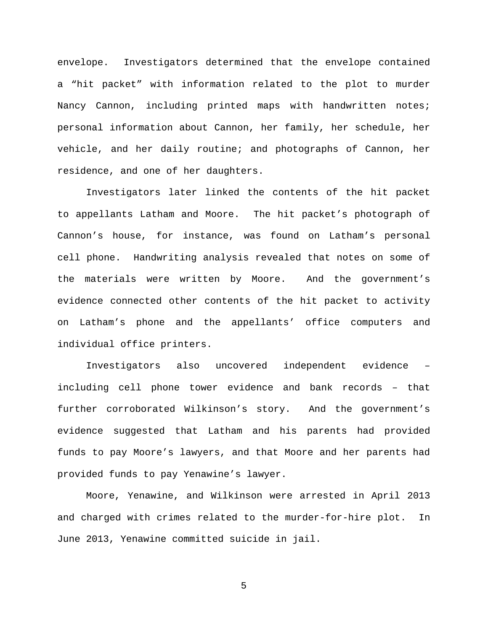envelope. Investigators determined that the envelope contained a "hit packet" with information related to the plot to murder Nancy Cannon, including printed maps with handwritten notes; personal information about Cannon, her family, her schedule, her vehicle, and her daily routine; and photographs of Cannon, her residence, and one of her daughters.

Investigators later linked the contents of the hit packet to appellants Latham and Moore. The hit packet's photograph of Cannon's house, for instance, was found on Latham's personal cell phone. Handwriting analysis revealed that notes on some of the materials were written by Moore. And the government's evidence connected other contents of the hit packet to activity on Latham's phone and the appellants' office computers and individual office printers.

Investigators also uncovered independent evidence – including cell phone tower evidence and bank records – that further corroborated Wilkinson's story. And the government's evidence suggested that Latham and his parents had provided funds to pay Moore's lawyers, and that Moore and her parents had provided funds to pay Yenawine's lawyer.

Moore, Yenawine, and Wilkinson were arrested in April 2013 and charged with crimes related to the murder-for-hire plot. In June 2013, Yenawine committed suicide in jail.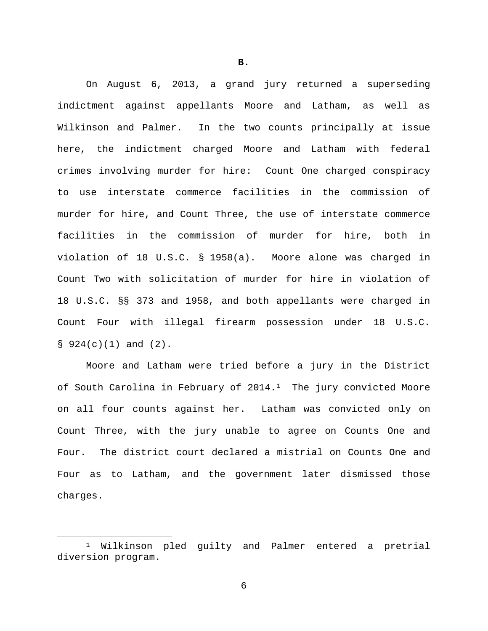On August 6, 2013, a grand jury returned a superseding indictment against appellants Moore and Latham, as well as Wilkinson and Palmer. In the two counts principally at issue here, the indictment charged Moore and Latham with federal crimes involving murder for hire: Count One charged conspiracy to use interstate commerce facilities in the commission of murder for hire, and Count Three, the use of interstate commerce facilities in the commission of murder for hire, both in violation of 18 U.S.C. § 1958(a). Moore alone was charged in Count Two with solicitation of murder for hire in violation of 18 U.S.C. §§ 373 and 1958, and both appellants were charged in Count Four with illegal firearm possession under 18 U.S.C.  $§$  924(c)(1) and (2).

Moore and Latham were tried before a jury in the District of South Carolina in February of  $2014.1$  The jury convicted Moore on all four counts against her. Latham was convicted only on Count Three, with the jury unable to agree on Counts One and Four. The district court declared a mistrial on Counts One and Four as to Latham, and the government later dismissed those charges.

6

**B.**

<span id="page-5-0"></span> <sup>1</sup> Wilkinson pled guilty and Palmer entered a pretrial diversion program.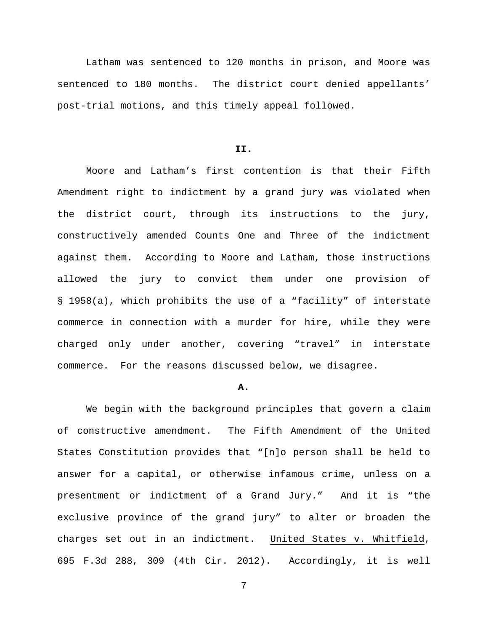Latham was sentenced to 120 months in prison, and Moore was sentenced to 180 months. The district court denied appellants' post-trial motions, and this timely appeal followed.

## **II.**

Moore and Latham's first contention is that their Fifth Amendment right to indictment by a grand jury was violated when the district court, through its instructions to the jury, constructively amended Counts One and Three of the indictment against them. According to Moore and Latham, those instructions allowed the jury to convict them under one provision of § 1958(a), which prohibits the use of a "facility" of interstate commerce in connection with a murder for hire, while they were charged only under another, covering "travel" in interstate commerce. For the reasons discussed below, we disagree.

### **A.**

We begin with the background principles that govern a claim of constructive amendment. The Fifth Amendment of the United States Constitution provides that "[n]o person shall be held to answer for a capital, or otherwise infamous crime, unless on a presentment or indictment of a Grand Jury." And it is "the exclusive province of the grand jury" to alter or broaden the charges set out in an indictment. United States v. Whitfield, 695 F.3d 288, 309 (4th Cir. 2012). Accordingly, it is well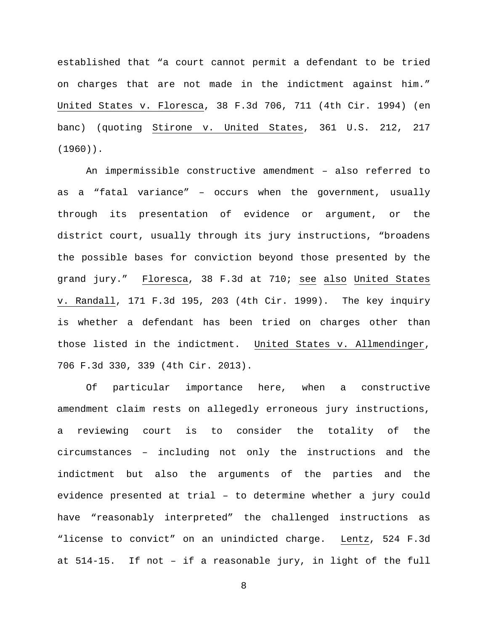established that "a court cannot permit a defendant to be tried on charges that are not made in the indictment against him." United States v. Floresca, 38 F.3d 706, 711 (4th Cir. 1994) (en banc) (quoting Stirone v. United States, 361 U.S. 212, 217 (1960)).

An impermissible constructive amendment – also referred to as a "fatal variance" – occurs when the government, usually through its presentation of evidence or argument, or the district court, usually through its jury instructions, "broadens the possible bases for conviction beyond those presented by the grand jury." Floresca, 38 F.3d at 710; see also United States v. Randall, 171 F.3d 195, 203 (4th Cir. 1999). The key inquiry is whether a defendant has been tried on charges other than those listed in the indictment. United States v. Allmendinger, 706 F.3d 330, 339 (4th Cir. 2013).

Of particular importance here, when a constructive amendment claim rests on allegedly erroneous jury instructions, a reviewing court is to consider the totality of the circumstances – including not only the instructions and the indictment but also the arguments of the parties and the evidence presented at trial – to determine whether a jury could have "reasonably interpreted" the challenged instructions as "license to convict" on an unindicted charge. Lentz, 524 F.3d at 514-15. If not – if a reasonable jury, in light of the full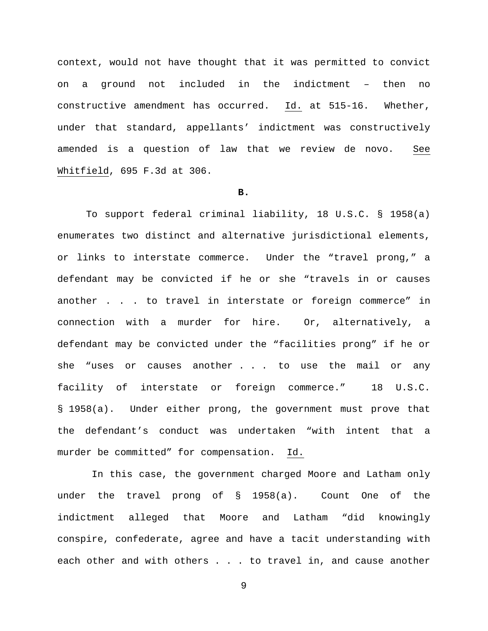context, would not have thought that it was permitted to convict on a ground not included in the indictment – then no constructive amendment has occurred. Id. at 515-16. Whether, under that standard, appellants' indictment was constructively amended is a question of law that we review de novo. See Whitfield, 695 F.3d at 306.

### **B.**

To support federal criminal liability, 18 U.S.C. § 1958(a) enumerates two distinct and alternative jurisdictional elements, or links to interstate commerce. Under the "travel prong," a defendant may be convicted if he or she "travels in or causes another . . . to travel in interstate or foreign commerce" in connection with a murder for hire. Or, alternatively, a defendant may be convicted under the "facilities prong" if he or she "uses or causes another . . . to use the mail or any facility of interstate or foreign commerce." 18 U.S.C. § 1958(a). Under either prong, the government must prove that the defendant's conduct was undertaken "with intent that a murder be committed" for compensation. Id.

In this case, the government charged Moore and Latham only under the travel prong of § 1958(a). Count One of the indictment alleged that Moore and Latham "did knowingly conspire, confederate, agree and have a tacit understanding with each other and with others . . . to travel in, and cause another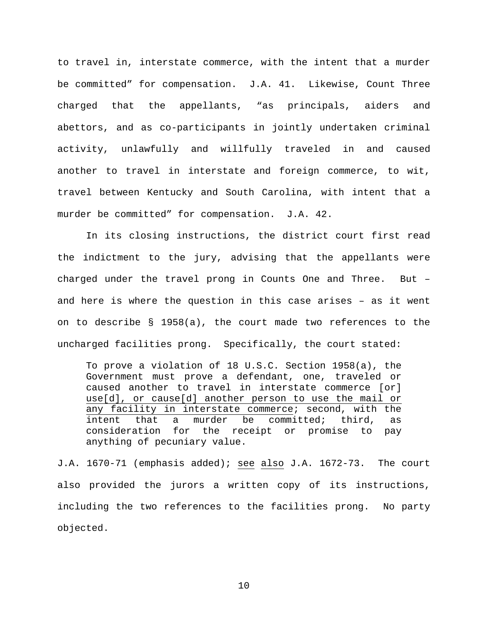to travel in, interstate commerce, with the intent that a murder be committed" for compensation. J.A. 41. Likewise, Count Three charged that the appellants, "as principals, aiders and abettors, and as co-participants in jointly undertaken criminal activity, unlawfully and willfully traveled in and caused another to travel in interstate and foreign commerce, to wit, travel between Kentucky and South Carolina, with intent that a murder be committed" for compensation. J.A. 42.

In its closing instructions, the district court first read the indictment to the jury, advising that the appellants were charged under the travel prong in Counts One and Three. But – and here is where the question in this case arises – as it went on to describe § 1958(a), the court made two references to the uncharged facilities prong. Specifically, the court stated:

To prove a violation of 18 U.S.C. Section 1958(a), the Government must prove a defendant, one, traveled or caused another to travel in interstate commerce [or] use[d], or cause[d] another person to use the mail or any facility in interstate commerce; second, with the<br>intent that a murder be committed; third, as a murder be committed; third, as consideration for the receipt or promise to pay anything of pecuniary value.

J.A. 1670-71 (emphasis added); see also J.A. 1672-73. The court also provided the jurors a written copy of its instructions, including the two references to the facilities prong. No party objected.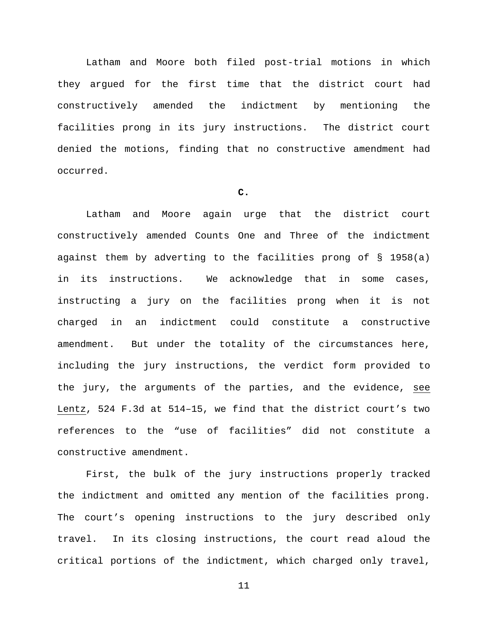Latham and Moore both filed post-trial motions in which they argued for the first time that the district court had constructively amended the indictment by mentioning the facilities prong in its jury instructions. The district court denied the motions, finding that no constructive amendment had occurred.

# **C.**

Latham and Moore again urge that the district court constructively amended Counts One and Three of the indictment against them by adverting to the facilities prong of § 1958(a) in its instructions. We acknowledge that in some cases, instructing a jury on the facilities prong when it is not charged in an indictment could constitute a constructive amendment. But under the totality of the circumstances here, including the jury instructions, the verdict form provided to the jury, the arguments of the parties, and the evidence, see Lentz, 524 F.3d at 514–15, we find that the district court's two references to the "use of facilities" did not constitute a constructive amendment.

First, the bulk of the jury instructions properly tracked the indictment and omitted any mention of the facilities prong. The court's opening instructions to the jury described only travel. In its closing instructions, the court read aloud the critical portions of the indictment, which charged only travel,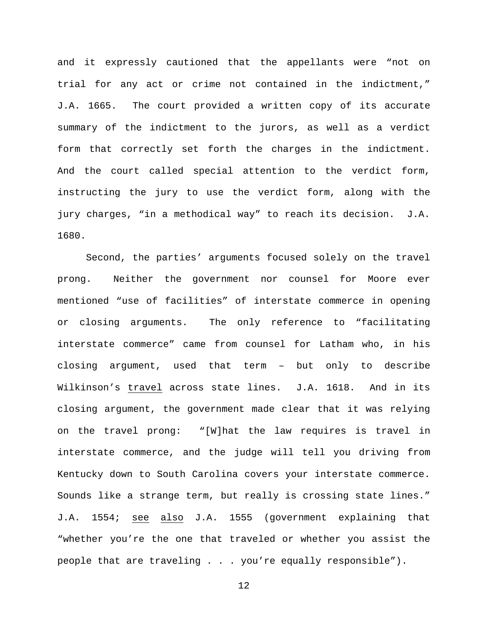and it expressly cautioned that the appellants were "not on trial for any act or crime not contained in the indictment," J.A. 1665. The court provided a written copy of its accurate summary of the indictment to the jurors, as well as a verdict form that correctly set forth the charges in the indictment. And the court called special attention to the verdict form, instructing the jury to use the verdict form, along with the jury charges, "in a methodical way" to reach its decision. J.A. 1680.

Second, the parties' arguments focused solely on the travel prong. Neither the government nor counsel for Moore ever mentioned "use of facilities" of interstate commerce in opening or closing arguments. The only reference to "facilitating interstate commerce" came from counsel for Latham who, in his closing argument, used that term – but only to describe Wilkinson's travel across state lines. J.A. 1618. And in its closing argument, the government made clear that it was relying on the travel prong: "[W]hat the law requires is travel in interstate commerce, and the judge will tell you driving from Kentucky down to South Carolina covers your interstate commerce. Sounds like a strange term, but really is crossing state lines." J.A. 1554; see also J.A. 1555 (government explaining that "whether you're the one that traveled or whether you assist the people that are traveling . . . you're equally responsible").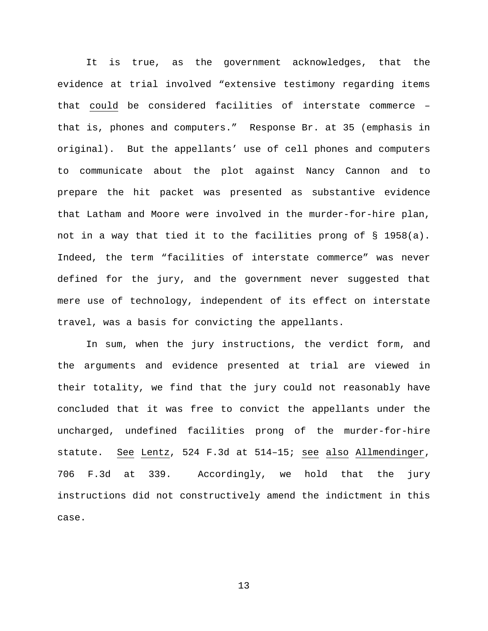It is true, as the government acknowledges, that the evidence at trial involved "extensive testimony regarding items that could be considered facilities of interstate commerce – that is, phones and computers." Response Br. at 35 (emphasis in original). But the appellants' use of cell phones and computers to communicate about the plot against Nancy Cannon and to prepare the hit packet was presented as substantive evidence that Latham and Moore were involved in the murder-for-hire plan, not in a way that tied it to the facilities prong of § 1958(a). Indeed, the term "facilities of interstate commerce" was never defined for the jury, and the government never suggested that mere use of technology, independent of its effect on interstate travel, was a basis for convicting the appellants.

In sum, when the jury instructions, the verdict form, and the arguments and evidence presented at trial are viewed in their totality, we find that the jury could not reasonably have concluded that it was free to convict the appellants under the uncharged, undefined facilities prong of the murder-for-hire statute. See Lentz, 524 F.3d at 514–15; see also Allmendinger, 706 F.3d at 339. Accordingly, we hold that the jury instructions did not constructively amend the indictment in this case.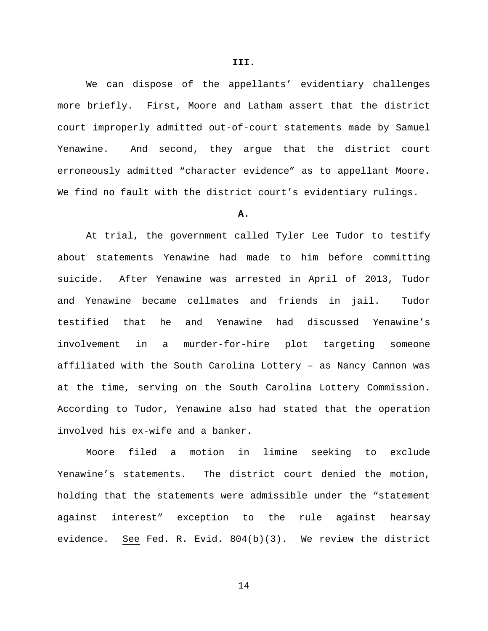We can dispose of the appellants' evidentiary challenges more briefly. First, Moore and Latham assert that the district court improperly admitted out-of-court statements made by Samuel Yenawine. And second, they argue that the district court erroneously admitted "character evidence" as to appellant Moore. We find no fault with the district court's evidentiary rulings.

#### **A.**

At trial, the government called Tyler Lee Tudor to testify about statements Yenawine had made to him before committing suicide. After Yenawine was arrested in April of 2013, Tudor and Yenawine became cellmates and friends in jail. Tudor testified that he and Yenawine had discussed Yenawine's involvement in a murder-for-hire plot targeting someone affiliated with the South Carolina Lottery – as Nancy Cannon was at the time, serving on the South Carolina Lottery Commission. According to Tudor, Yenawine also had stated that the operation involved his ex-wife and a banker.

Moore filed a motion in limine seeking to exclude Yenawine's statements. The district court denied the motion, holding that the statements were admissible under the "statement against interest" exception to the rule against hearsay evidence. See Fed. R. Evid. 804(b)(3). We review the district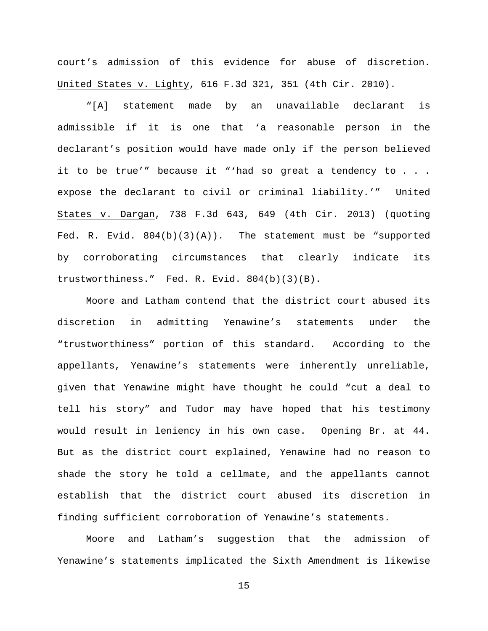court's admission of this evidence for abuse of discretion. United States v. Lighty, 616 F.3d 321, 351 (4th Cir. 2010).

"[A] statement made by an unavailable declarant is admissible if it is one that 'a reasonable person in the declarant's position would have made only if the person believed it to be true'" because it "'had so great a tendency to . . . expose the declarant to civil or criminal liability.'" United States v. Dargan, 738 F.3d 643, 649 (4th Cir. 2013) (quoting Fed. R. Evid. 804(b)(3)(A)). The statement must be "supported by corroborating circumstances that clearly indicate its trustworthiness." Fed. R. Evid. 804(b)(3)(B).

Moore and Latham contend that the district court abused its discretion in admitting Yenawine's statements under the "trustworthiness" portion of this standard. According to the appellants, Yenawine's statements were inherently unreliable, given that Yenawine might have thought he could "cut a deal to tell his story" and Tudor may have hoped that his testimony would result in leniency in his own case. Opening Br. at 44. But as the district court explained, Yenawine had no reason to shade the story he told a cellmate, and the appellants cannot establish that the district court abused its discretion in finding sufficient corroboration of Yenawine's statements.

Moore and Latham's suggestion that the admission of Yenawine's statements implicated the Sixth Amendment is likewise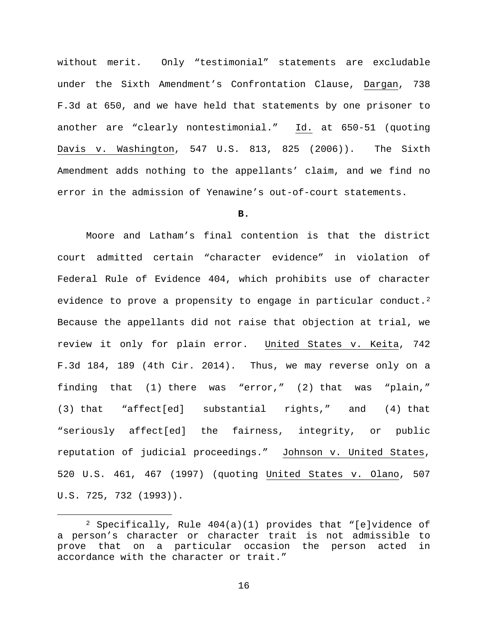without merit. Only "testimonial" statements are excludable under the Sixth Amendment's Confrontation Clause, Dargan, 738 F.3d at 650, and we have held that statements by one prisoner to another are "clearly nontestimonial." Id. at 650-51 (quoting Davis v. Washington, 547 U.S. 813, 825 (2006)). The Sixth Amendment adds nothing to the appellants' claim, and we find no error in the admission of Yenawine's out-of-court statements.

## **B.**

Moore and Latham's final contention is that the district court admitted certain "character evidence" in violation of Federal Rule of Evidence 404, which prohibits use of character evidence to prove a propensity to engage in particular conduct.<sup>[2](#page-15-0)</sup> Because the appellants did not raise that objection at trial, we review it only for plain error. United States v. Keita, 742 F.3d 184, 189 (4th Cir. 2014). Thus, we may reverse only on a finding that (1) there was "error," (2) that was "plain," (3) that "affect[ed] substantial rights," and (4) that "seriously affect[ed] the fairness, integrity, or public reputation of judicial proceedings." Johnson v. United States, 520 U.S. 461, 467 (1997) (quoting United States v. Olano, 507 U.S. 725, 732 (1993)).

<span id="page-15-0"></span> <sup>2</sup> Specifically, Rule 404(a)(1) provides that "[e]vidence of a person's character or character trait is not admissible to prove that on a particular occasion the person acted in accordance with the character or trait."